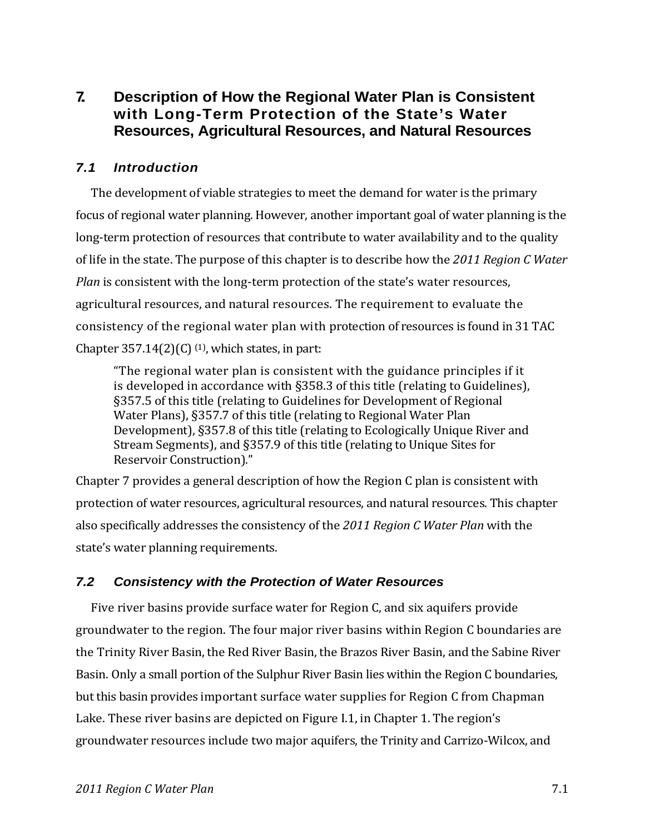# **7. Description of How the Regional Water Plan is Consistent with Long-Term Protection of the State's Water Resources, Agricultural Resources, and Natural Resources**

# *7.1 Introduction*

The development of viable strategies to meet the demand for water is the primary focus of regional water planning. However, another important goal of water planning is the long-term protection of resources that contribute to water availability and to the quality of life in the state. The purpose of this chapter is to describe how the *2011 Region C Water Plan* is consistent with the long-term protection of the state's water resources, agricultural resources, and natural resources. The requirement to evaluate the consistency of the regional water plan with protection of resources is found in 31 TAC Chapter 357.14 $(2)(C)$  <sup>(1)</sup>, which states, in part:

"The regional water plan is consistent with the guidance principles if it is developed in accordance with §358.3 of this title (relating to Guidelines), §357.5 of this title (relating to Guidelines for Development of Regional Water Plans), §357.7 of this title (relating to Regional Water Plan Development), §357.8 of this title (relating to Ecologically Unique River and Stream Segments), and §357.9 of this title (relating to Unique Sites for Reservoir Construction)."

Chapter 7 provides a general description of how the Region C plan is consistent with protection of water resources, agricultural resources, and natural resources. This chapter also specifically addresses the consistency of the *2011 Region C Water Plan* with the state's water planning requirements.

# *7.2 Consistency with the Protection of Water Resources*

Five river basins provide surface water for Region C, and six aquifers provide groundwater to the region. The four major river basins within Region C boundaries are the Trinity River Basin, the Red River Basin, the Brazos River Basin, and the Sabine River Basin. Only a small portion of the Sulphur River Basin lies within the Region C boundaries, but this basin provides important surface water supplies for Region C from Chapman Lake. These river basins are depicted on Figure I.1, in Chapter 1. The region's groundwater resources include two major aquifers, the Trinity and Carrizo‐Wilcox, and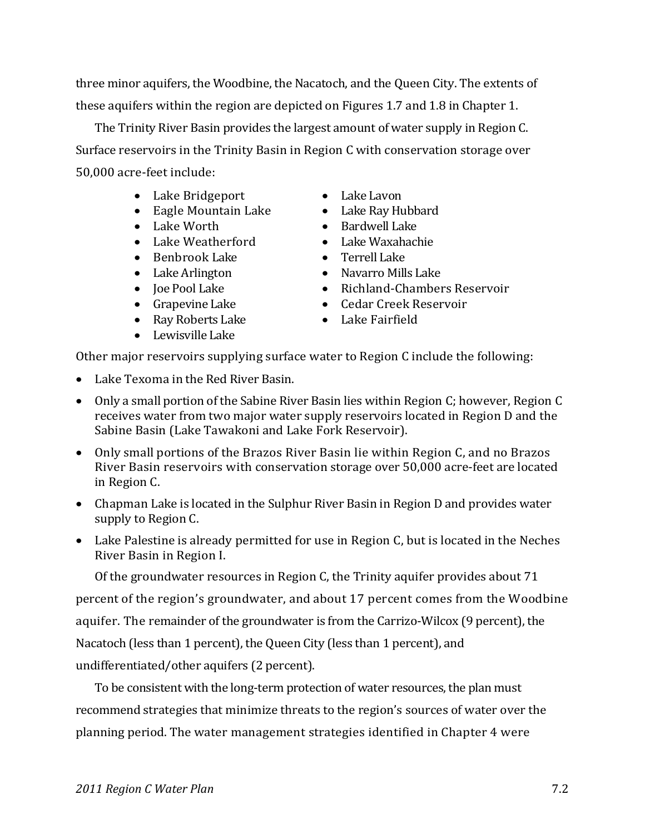three minor aquifers, the Woodbine, the Nacatoch, and the Queen City. The extents of these aquifers within the region are depicted on Figures 1.7 and 1.8 in Chapter 1.

The Trinity River Basin provides the largest amount of water supply in Region C. Surface reservoirs in the Trinity Basin in Region C with conservation storage over 50,000 acre‐feet include:

- Lake Bridgeport Lake Lavon
- Eagle Mountain Lake Lake Ray Hubbard
- 
- Lake Weatherford Lake Waxahachie
- Benbrook Lake Terrell Lake
- 
- 
- 
- Ray Roberts Lake **Called Called Called Called Called Called Called Called**
- Lewisville Lake
- 
- 
- Lake Worth Bardwell Lake
	-
	-
- Lake Arlington Navarro Mills Lake
- Joe Pool Lake Richland-Chambers Reservoir
- Grapevine Lake Cedar Creek Reservoir
	-

Other major reservoirs supplying surface water to Region C include the following:

- Lake Texoma in the Red River Basin.
- Only a small portion of the Sabine River Basin lies within Region C; however, Region C receives water from two major water supply reservoirs located in Region D and the Sabine Basin (Lake Tawakoni and Lake Fork Reservoir).
- Only small portions of the Brazos River Basin lie within Region C, and no Brazos River Basin reservoirs with conservation storage over 50,000 acre‐feet are located in Region C.
- Chapman Lake is located in the Sulphur River Basin in Region D and provides water supply to Region C.
- Lake Palestine is already permitted for use in Region C, but is located in the Neches River Basin in Region I.

Of the groundwater resources in Region C, the Trinity aquifer provides about 71

percent of the region's groundwater, and about 17 percent comes from the Woodbine

aquifer. The remainder of the groundwater is from the Carrizo‐Wilcox (9 percent), the

Nacatoch (less than 1 percent), the Queen City (less than 1 percent), and

undifferentiated/other aquifers (2 percent).

To be consistent with the long-term protection of water resources, the plan must recommend strategies that minimize threats to the region's sources of water over the planning period. The water management strategies identified in Chapter 4 were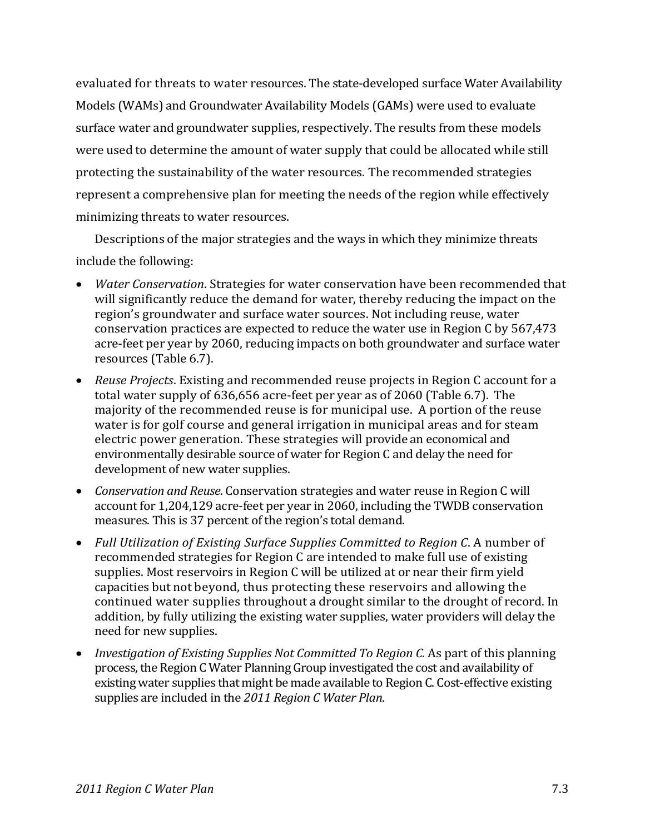evaluated for threats to water resources. The state-developed surface Water Availability Models (WAMs) and Groundwater Availability Models (GAMs) were used to evaluate surface water and groundwater supplies, respectively. The results from these models were used to determine the amount of water supply that could be allocated while still protecting the sustainability of the water resources. The recommended strategies represent a comprehensive plan for meeting the needs of the region while effectively minimizing threats to water resources.

Descriptions of the major strategies and the ways in which they minimize threats include the following:

- *Water Conservation*. Strategies for water conservation have been recommended that will significantly reduce the demand for water, thereby reducing the impact on the region's groundwater and surface water sources. Not including reuse, water conservation practices are expected to reduce the water use in Region C by 567,473 acre‐feet per year by 2060, reducing impacts on both groundwater and surface water resources (Table 6.7).
- *Reuse Projects*. Existing and recommended reuse projects in Region C account for a total water supply of 636,656 acre‐feet per year as of 2060 (Table 6.7). The majority of the recommended reuse is for municipal use. A portion of the reuse water is for golf course and general irrigation in municipal areas and for steam electric power generation. These strategies will provide an economical and environmentally desirable source of water for Region C and delay the need for development of new water supplies.
- *Conservation and Reuse*. Conservation strategies and water reuse in Region C will account for 1,204,129 acre‐feet per year in 2060, including the TWDB conservation measures. This is 37 percent of the region's total demand.
- *Full Utilization of Existing Surface Supplies Committed to Region C*. A number of recommended strategies for Region C are intended to make full use of existing supplies. Most reservoirs in Region C will be utilized at or near their firm yield capacities but not beyond, thus protecting these reservoirs and allowing the continued water supplies throughout a drought similar to the drought of record. In addition, by fully utilizing the existing water supplies, water providers will delay the need for new supplies.
- *Investigation of Existing Supplies Not Committed To Region C.* As part of this planning process, the Region C Water Planning Group investigated the cost and availability of existing water supplies that might be made available to Region C. Cost-effective existing supplies are included in the *2011 Region C Water Plan*.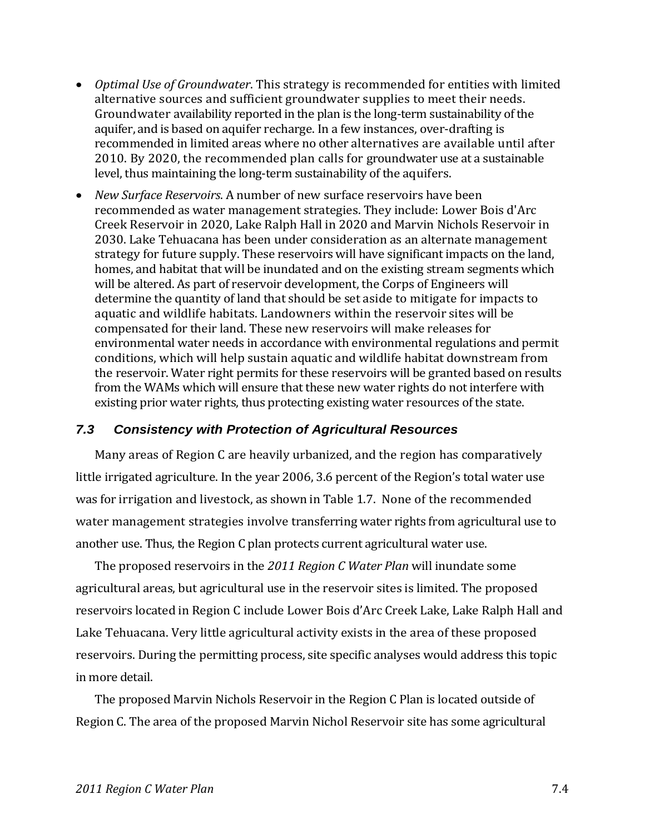- *Optimal Use of Groundwater*. This strategy is recommended for entities with limited alternative sources and sufficient groundwater supplies to meet their needs. Groundwater availability reported in the plan is the long‐term sustainability of the aquifer, and is based on aquifer recharge. In a few instances, over‐drafting is recommended in limited areas where no other alternatives are available until after 2010. By 2020, the recommended plan calls for groundwater use at a sustainable level, thus maintaining the long‐term sustainability of the aquifers.
- *New Surface Reservoirs*. A number of new surface reservoirs have been recommended as water management strategies. They include: Lower Bois d'Arc Creek Reservoir in 2020, Lake Ralph Hall in 2020 and Marvin Nichols Reservoir in 2030. Lake Tehuacana has been under consideration as an alternate management strategy for future supply. These reservoirs will have significant impacts on the land, homes, and habitat that will be inundated and on the existing stream segments which will be altered. As part of reservoir development, the Corps of Engineers will determine the quantity of land that should be set aside to mitigate for impacts to aquatic and wildlife habitats. Landowners within the reservoir sites will be compensated for their land. These new reservoirs will make releases for environmental water needs in accordance with environmental regulations and permit conditions, which will help sustain aquatic and wildlife habitat downstream from the reservoir. Water right permits for these reservoirs will be granted based on results from the WAMs which will ensure that these new water rights do not interfere with existing prior water rights, thus protecting existing water resources of the state.

### *7.3 Consistency with Protection of Agricultural Resources*

Many areas of Region C are heavily urbanized, and the region has comparatively little irrigated agriculture. In the year 2006, 3.6 percent of the Region's total water use was for irrigation and livestock, as shown in Table 1.7. None of the recommended water management strategies involve transferring water rights from agricultural use to another use. Thus, the Region C plan protects current agricultural water use.

The proposed reservoirs in the *2011 Region C Water Plan* will inundate some agricultural areas, but agricultural use in the reservoir sites is limited. The proposed reservoirs located in Region C include Lower Bois d'Arc Creek Lake, Lake Ralph Hall and Lake Tehuacana. Very little agricultural activity exists in the area of these proposed reservoirs. During the permitting process, site specific analyses would address this topic in more detail.

The proposed Marvin Nichols Reservoir in the Region C Plan is located outside of Region C. The area of the proposed Marvin Nichol Reservoir site has some agricultural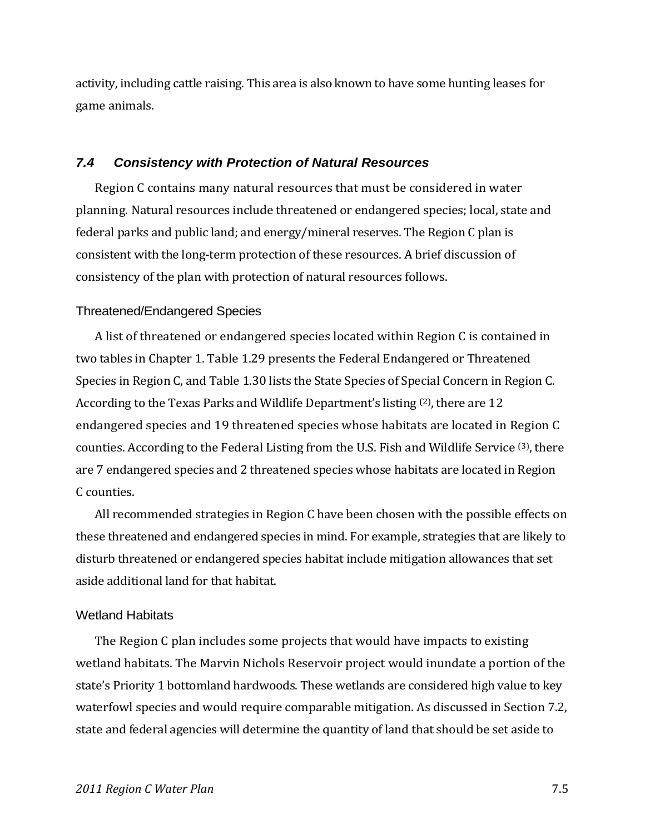activity, including cattle raising. This area is also known to have some hunting leases for game animals.

### *7.4 Consistency with Protection of Natural Resources*

Region C contains many natural resources that must be considered in water planning. Natural resources include threatened or endangered species; local, state and federal parks and public land; and energy/mineral reserves. The Region C plan is consistent with the long‐term protection of these resources. A brief discussion of consistency of the plan with protection of natural resources follows.

#### Threatened/Endangered Species

A list of threatened or endangered species located within Region C is contained in two tables in Chapter 1. Table 1.29 presents the Federal Endangered or Threatened Species in Region C, and Table 1.30 lists the State Species of Special Concern in Region C. According to the Texas Parks and Wildlife Department's listing <sup>(2)</sup>, there are 12 endangered species and 19 threatened species whose habitats are located in Region C counties. According to the Federal Listing from the U.S. Fish and Wildlife Service (3), there are 7 endangered species and 2 threatened species whose habitats are located in Region C counties.

All recommended strategies in Region C have been chosen with the possible effects on these threatened and endangered species in mind. For example, strategies that are likely to disturb threatened or endangered species habitat include mitigation allowances that set aside additional land for that habitat.

### Wetland Habitats

The Region C plan includes some projects that would have impacts to existing wetland habitats. The Marvin Nichols Reservoir project would inundate a portion of the state's Priority 1 bottomland hardwoods. These wetlands are considered high value to key waterfowl species and would require comparable mitigation. As discussed in Section 7.2, state and federal agencies will determine the quantity of land that should be set aside to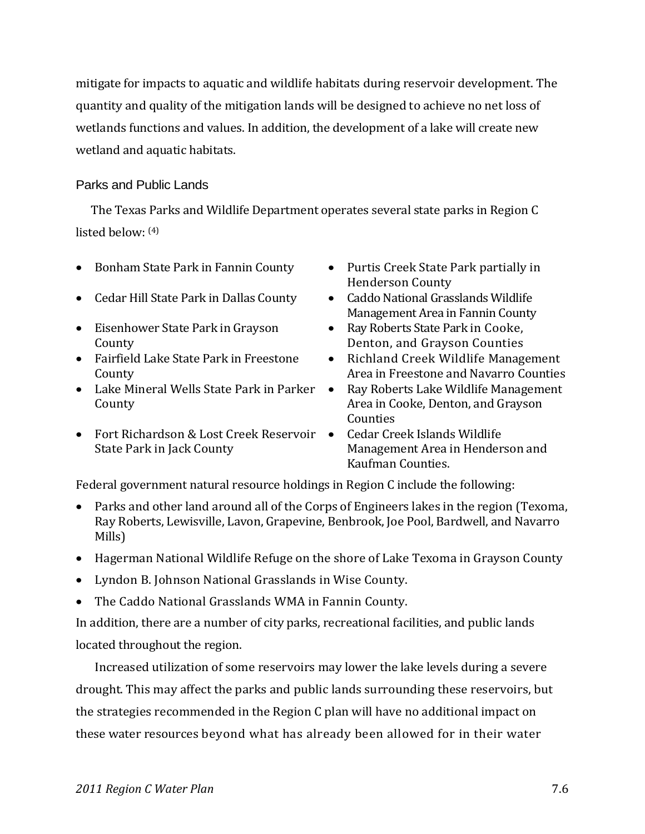mitigate for impacts to aquatic and wildlife habitats during reservoir development. The quantity and quality of the mitigation lands will be designed to achieve no net loss of wetlands functions and values. In addition, the development of a lake will create new wetland and aquatic habitats.

### Parks and Public Lands

The Texas Parks and Wildlife Department operates several state parks in Region C listed below: (4)

- Bonham State Park in Fannin County Purtis Creek State Park partially in
- Cedar Hill State Park in Dallas County Caddo National Grasslands Wildlife
- Eisenhower State Park in Grayson County
- Fairfield Lake State Park in Freestone County
- Lake Mineral Wells State Park in Parker County
- Fort Richardson & Lost Creek Reservoir State Park in Jack County
- Henderson County
- Management Area in Fannin County
- Ray Roberts State Park in Cooke, Denton, and Grayson Counties
- Richland Creek Wildlife Management Area in Freestone and Navarro Counties
- Ray Roberts Lake Wildlife Management Area in Cooke, Denton, and Grayson **Counties**
- Cedar Creek Islands Wildlife Management Area in Henderson and Kaufman Counties.

Federal government natural resource holdings in Region C include the following:

- Parks and other land around all of the Corps of Engineers lakes in the region (Texoma, Ray Roberts, Lewisville, Lavon, Grapevine, Benbrook, Joe Pool, Bardwell, and Navarro Mills)
- Hagerman National Wildlife Refuge on the shore of Lake Texoma in Grayson County
- Lyndon B. Johnson National Grasslands in Wise County.
- The Caddo National Grasslands WMA in Fannin County.

In addition, there are a number of city parks, recreational facilities, and public lands located throughout the region.

Increased utilization of some reservoirs may lower the lake levels during a severe drought. This may affect the parks and public lands surrounding these reservoirs, but the strategies recommended in the Region C plan will have no additional impact on these water resources beyond what has already been allowed for in their water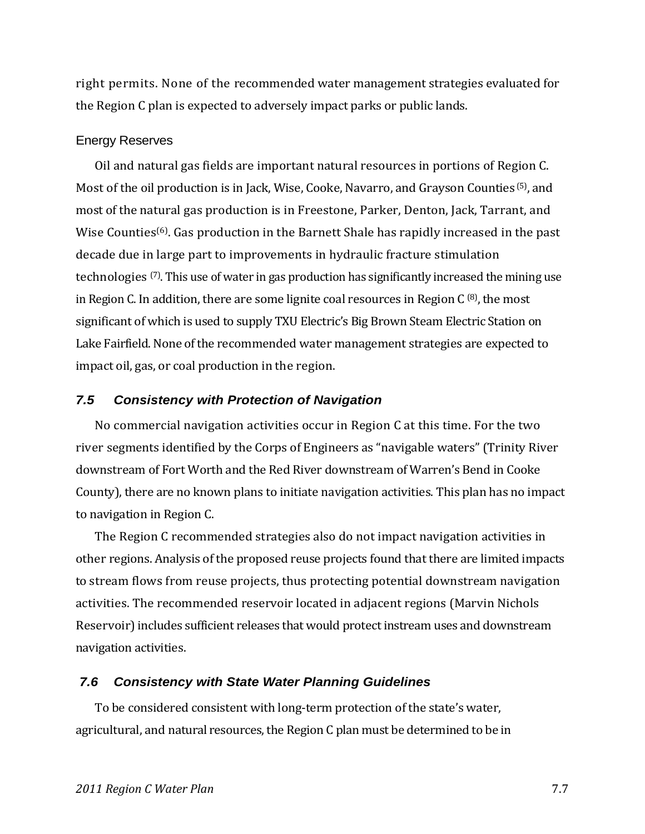right permits. None of the recommended water management strategies evaluated for the Region C plan is expected to adversely impact parks or public lands.

#### Energy Reserves

Oil and natural gas fields are important natural resources in portions of Region C. Most of the oil production is in Jack, Wise, Cooke, Navarro, and Grayson Counties (5), and most of the natural gas production is in Freestone, Parker, Denton, Jack, Tarrant, and Wise Counties<sup>(6)</sup>. Gas production in the Barnett Shale has rapidly increased in the past decade due in large part to improvements in hydraulic fracture stimulation technologies (7). This use of water in gas production has significantly increased the mining use in Region C. In addition, there are some lignite coal resources in Region C  $(8)$ , the most significant of which is used to supply TXU Electric's Big Brown Steam Electric Station on Lake Fairfield. None of the recommended water management strategies are expected to impact oil, gas, or coal production in the region.

#### *7.5 Consistency with Protection of Navigation*

No commercial navigation activities occur in Region C at this time. For the two river segments identified by the Corps of Engineers as "navigable waters" (Trinity River downstream of Fort Worth and the Red River downstream of Warren's Bend in Cooke County), there are no known plans to initiate navigation activities. This plan has no impact to navigation in Region C.

The Region C recommended strategies also do not impact navigation activities in other regions. Analysis of the proposed reuse projects found that there are limited impacts to stream flows from reuse projects, thus protecting potential downstream navigation activities. The recommended reservoir located in adjacent regions (Marvin Nichols Reservoir) includes sufficient releases that would protect instream uses and downstream navigation activities.

#### *7.6 Consistency with State Water Planning Guidelines*

To be considered consistent with long‐term protection of the state's water, agricultural, and natural resources, the Region C plan must be determined to be in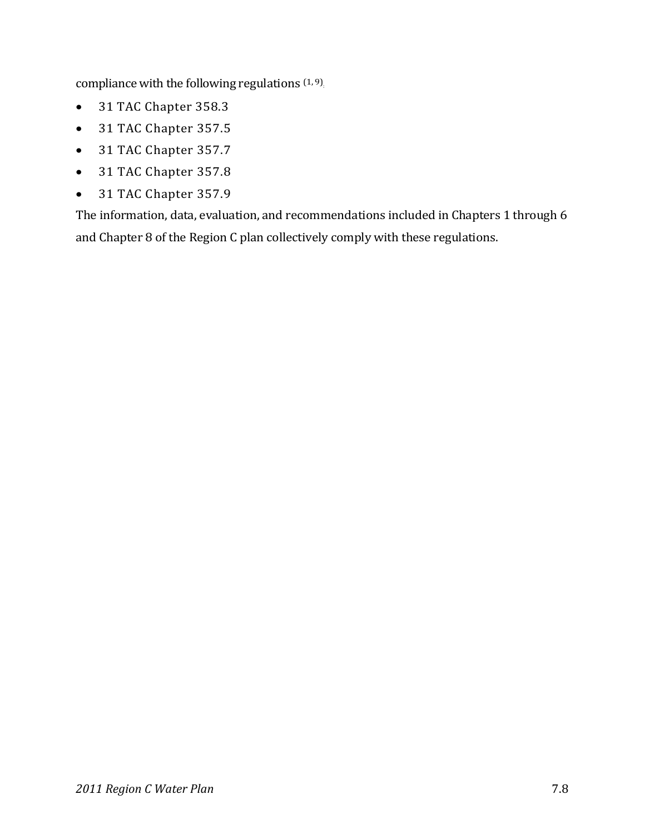compliance with the following regulations  $(1, 9)$ .

- 31 TAC Chapter 358.3
- 31 TAC Chapter 357.5
- 31 TAC Chapter 357.7
- 31 TAC Chapter 357.8
- 31 TAC Chapter 357.9

The information, data, evaluation, and recommendations included in Chapters 1 through 6 and Chapter 8 of the Region C plan collectively comply with these regulations.